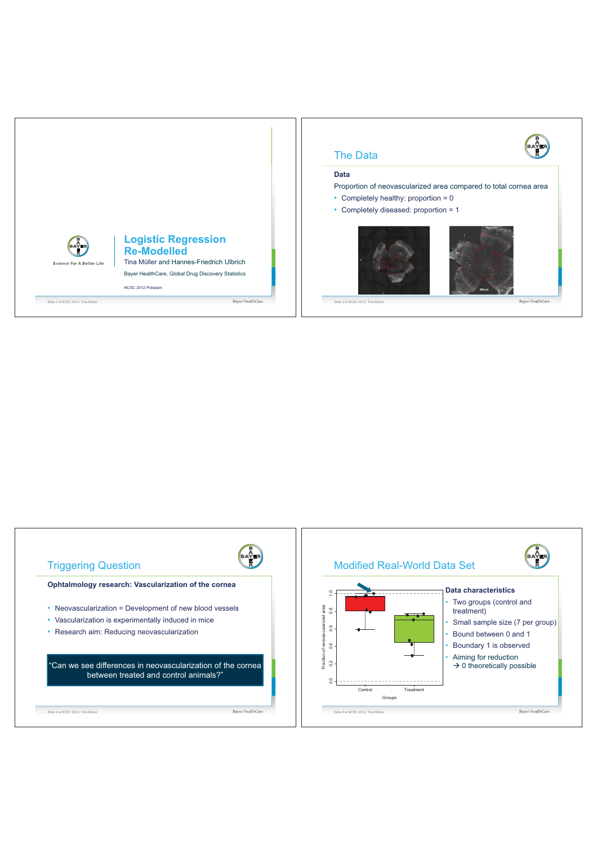

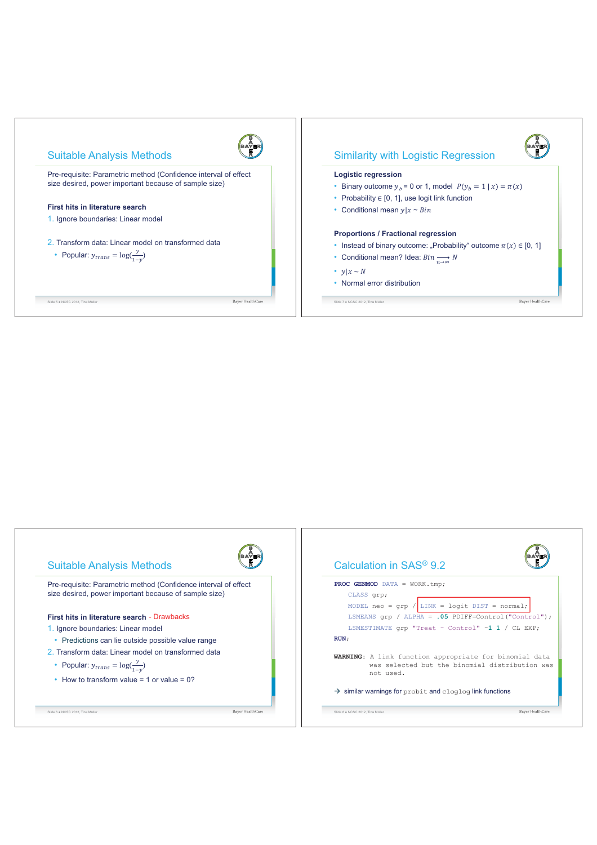

|                                                                                                                                                      | Calculation in SAS <sup>®</sup> 9.2                                                                                          |  |  |  |  |  |
|------------------------------------------------------------------------------------------------------------------------------------------------------|------------------------------------------------------------------------------------------------------------------------------|--|--|--|--|--|
| Pre-requisite: Parametric method (Confidence interval of effect<br>size desired, power important because of sample size)                             | PROC GENMOD DATA = WORK.tmp;<br>CLASS qrp;<br>MODEL neo = $\text{qrp}$ / LINK = logit DIST = normal;                         |  |  |  |  |  |
| First hits in literature search - Drawbacks                                                                                                          | LSMEANS $qrp$ / ALPHA = .05 PDIFF=Control ("Control");                                                                       |  |  |  |  |  |
| 1. Ignore boundaries: Linear model                                                                                                                   | LSMESTIMATE grp "Treat - Control" -1 1 / CL EXP;                                                                             |  |  |  |  |  |
| • Predictions can lie outside possible value range                                                                                                   | RUN:                                                                                                                         |  |  |  |  |  |
| 2. Transform data: Linear model on transformed data<br>• Popular: $y_{trans} = \log(\frac{y}{1-y})$<br>• How to transform value = 1 or value = $0$ ? | <b>WARNING:</b> A link function appropriate for binomial data<br>was selected but the binomial distribution was<br>not used. |  |  |  |  |  |
|                                                                                                                                                      | $\rightarrow$ similar warnings for probit and cloqloq link functions                                                         |  |  |  |  |  |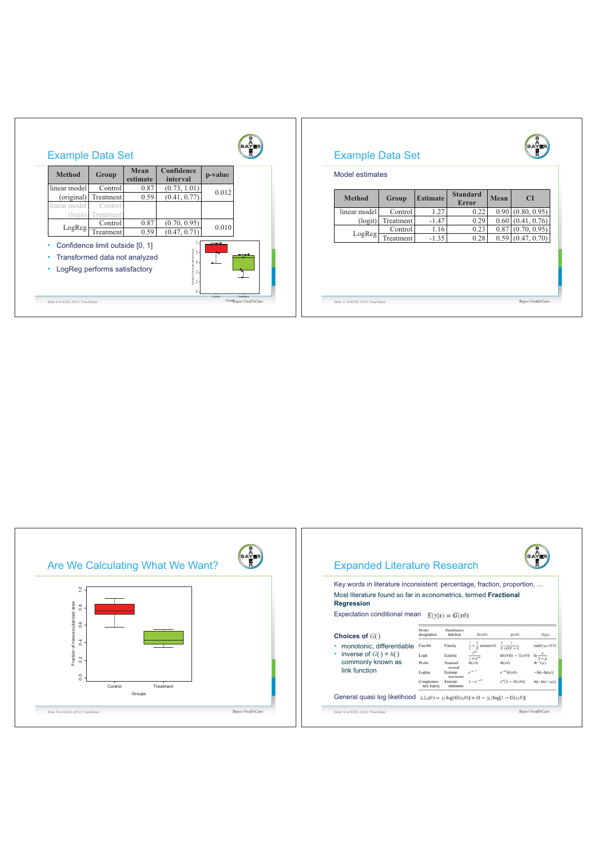| <b>Method</b>                              | Mean<br><b>Group</b><br>0.87<br>Control<br>0.59<br>Treatment<br>Control                          | estimate                     | Confidence<br>interval | p-value       | Model estimates |                 |                                 |      |           |                     |
|--------------------------------------------|--------------------------------------------------------------------------------------------------|------------------------------|------------------------|---------------|-----------------|-----------------|---------------------------------|------|-----------|---------------------|
| linear model<br>(original)<br>linear model |                                                                                                  | (0.73, 1.01)<br>(0.41, 0.77) | 0.012                  | <b>Method</b> | Group           | <b>Estimate</b> | <b>Standard</b><br><b>Error</b> | Mean | <b>CI</b> |                     |
| (logit)                                    | Treatment                                                                                        |                              |                        |               | linear model    | Control         | 1.27                            | 0.22 |           | 0.90(0.80, 0.95)    |
| LogReg                                     | Control                                                                                          | 0.87                         | (0.70, 0.95)           | 0.010         | (logit)         | Treatment       | $-1.47$                         | 0.29 |           | $0.60$ (0.41, 0.76) |
|                                            | Treatment                                                                                        | 0.59                         | (0.47, 0.71)           |               | LogReg          | Control         | 1.16                            | 0.23 |           | $0.87$ (0.70, 0.95) |
| ٠<br>٠                                     | Confidence limit outside [0, 1]<br>Transformed data not analyzed<br>LogReg performs satisfactory |                              |                        |               |                 | Treatment       | $-1.35$                         | 0.28 |           | $0.59$ (0.47, 0.70) |